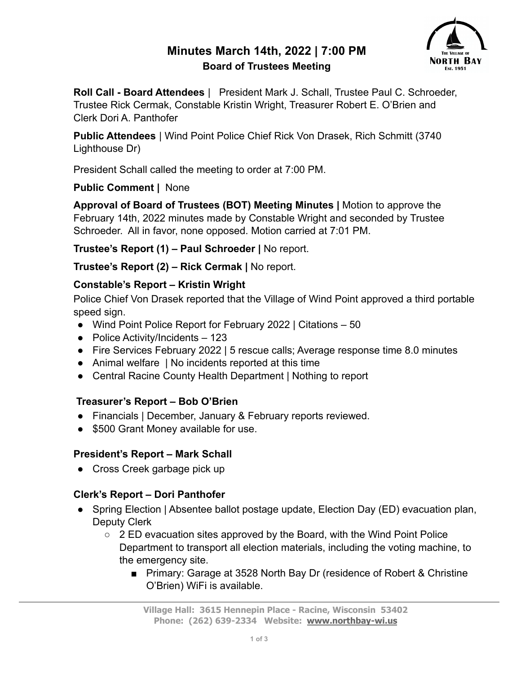# **Minutes March 14th, 2022 | 7:00 PM Board of Trustees Meeting**



**Roll Call - Board Attendees** | President Mark J. Schall, Trustee Paul C. Schroeder, Trustee Rick Cermak, Constable Kristin Wright, Treasurer Robert E. O'Brien and Clerk Dori A. Panthofer

**Public Attendees** | Wind Point Police Chief Rick Von Drasek, Rich Schmitt (3740 Lighthouse Dr)

President Schall called the meeting to order at 7:00 PM.

#### **Public Comment |** None

**Approval of Board of Trustees (BOT) Meeting Minutes |** Motion to approve the February 14th, 2022 minutes made by Constable Wright and seconded by Trustee Schroeder. All in favor, none opposed. Motion carried at 7:01 PM.

**Trustee's Report (1) – Paul Schroeder |** No report.

**Trustee's Report (2) – Rick Cermak |** No report.

## **Constable's Report – Kristin Wright**

Police Chief Von Drasek reported that the Village of Wind Point approved a third portable speed sign.

- Wind Point Police Report for February 2022 | Citations 50
- Police Activity/Incidents 123
- Fire Services February 2022 | 5 rescue calls; Average response time 8.0 minutes
- Animal welfare | No incidents reported at this time
- Central Racine County Health Department | Nothing to report

## **Treasurer's Report – Bob O'Brien**

- Financials | December, January & February reports reviewed.
- \$500 Grant Money available for use.

## **President's Report – Mark Schall**

• Cross Creek garbage pick up

## **Clerk's Report – Dori Panthofer**

- Spring Election | Absentee ballot postage update, Election Day (ED) evacuation plan, Deputy Clerk
	- $\circ$  2 ED evacuation sites approved by the Board, with the Wind Point Police Department to transport all election materials, including the voting machine, to the emergency site.
		- Primary: Garage at 3528 North Bay Dr (residence of Robert & Christine O'Brien) WiFi is available.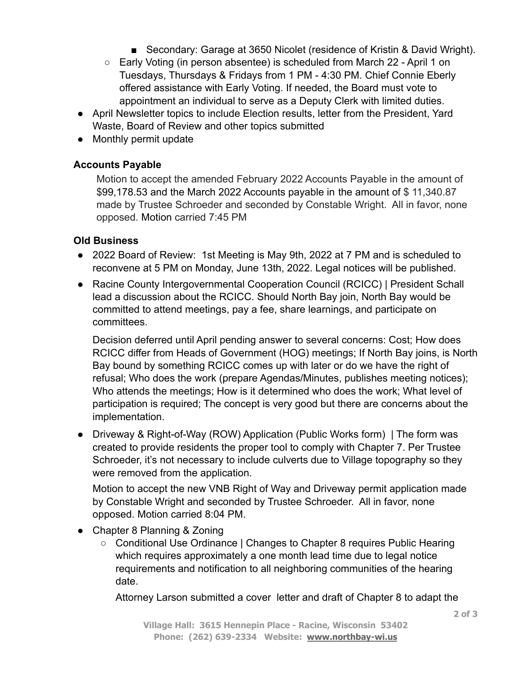- Secondary: Garage at 3650 Nicolet (residence of Kristin & David Wright).
- Early Voting (in person absentee) is scheduled from March 22 April 1 on Tuesdays, Thursdays & Fridays from 1 PM - 4:30 PM. Chief Connie Eberly offered assistance with Early Voting. If needed, the Board must vote to appointment an individual to serve as a Deputy Clerk with limited duties.
- April Newsletter topics to include Election results, letter from the President, Yard Waste, Board of Review and other topics submitted
- Monthly permit update

#### **Accounts Payable**

Motion to accept the amended February 2022 Accounts Payable in the amount of \$99,178.53 and the March 2022 Accounts payable in the amount of \$ 11,340.87 made by Trustee Schroeder and seconded by Constable Wright. All in favor, none opposed. Motion carried 7:45 PM

#### **Old Business**

- 2022 Board of Review: 1st Meeting is May 9th, 2022 at 7 PM and is scheduled to reconvene at 5 PM on Monday, June 13th, 2022. Legal notices will be published.
- Racine County Intergovernmental Cooperation Council (RCICC) | President Schall lead a discussion about the RCICC. Should North Bay join, North Bay would be committed to attend meetings, pay a fee, share learnings, and participate on committees.

Decision deferred until April pending answer to several concerns: Cost; How does RCICC differ from Heads of Government (HOG) meetings; If North Bay joins, is North Bay bound by something RCICC comes up with later or do we have the right of refusal; Who does the work (prepare Agendas/Minutes, publishes meeting notices); Who attends the meetings; How is it determined who does the work; What level of participation is required; The concept is very good but there are concerns about the implementation.

● Driveway & Right-of-Way (ROW) Application (Public Works form) | The form was created to provide residents the proper tool to comply with Chapter 7. Per Trustee Schroeder, it's not necessary to include culverts due to Village topography so they were removed from the application.

Motion to accept the new VNB Right of Way and Driveway permit application made by Constable Wright and seconded by Trustee Schroeder. All in favor, none opposed. Motion carried 8:04 PM.

- Chapter 8 Planning & Zoning
	- Conditional Use Ordinance | Changes to Chapter 8 requires Public Hearing which requires approximately a one month lead time due to legal notice requirements and notification to all neighboring communities of the hearing date.

Attorney Larson submitted a cover letter and draft of Chapter 8 to adapt the